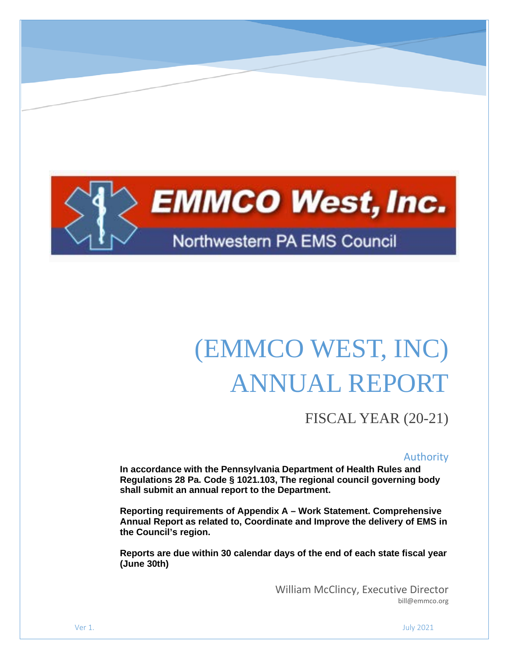

# (EMMCO WEST, INC) ANNUAL REPORT

FISCAL YEAR (20-21)

#### Authority

**In accordance with the Pennsylvania Department of Health Rules and Regulations 28 Pa. Code § 1021.103, The regional council governing body shall submit an annual report to the Department.**

**Reporting requirements of Appendix A – Work Statement. Comprehensive Annual Report as related to, Coordinate and Improve the delivery of EMS in the Council's region.**

**Reports are due within 30 calendar days of the end of each state fiscal year (June 30th)**

> William McClincy, Executive Director bill@emmco.org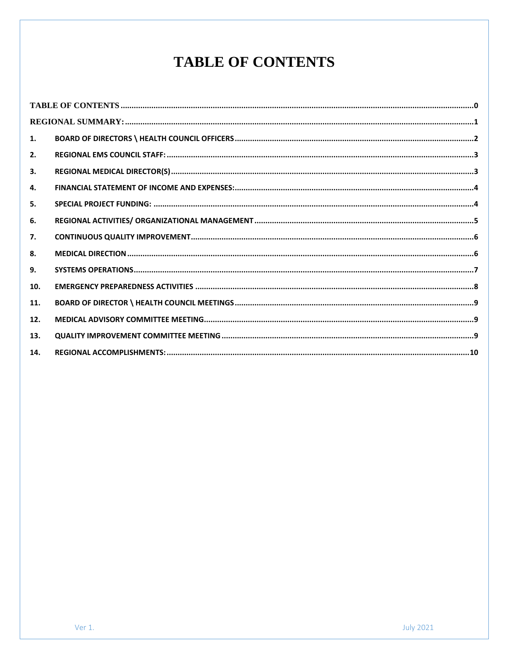# **TABLE OF CONTENTS**

<span id="page-1-0"></span>

| 1.  |  |
|-----|--|
| 2.  |  |
| 3.  |  |
| 4.  |  |
| 5.  |  |
| 6.  |  |
| 7.  |  |
| 8.  |  |
| 9.  |  |
| 10. |  |
| 11. |  |
| 12. |  |
| 13. |  |
| 14. |  |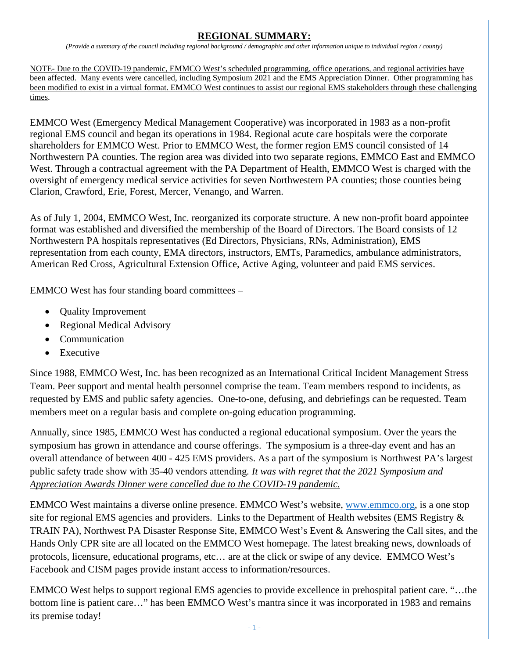#### **REGIONAL SUMMARY:**

*(Provide a summary of the council including regional background / demographic and other information unique to individual region / county)*

<span id="page-2-0"></span>NOTE- Due to the COVID-19 pandemic, EMMCO West's scheduled programming, office operations, and regional activities have been affected. Many events were cancelled, including Symposium 2021 and the EMS Appreciation Dinner. Other programming has been modified to exist in a virtual format. EMMCO West continues to assist our regional EMS stakeholders through these challenging times.

EMMCO West (Emergency Medical Management Cooperative) was incorporated in 1983 as a non-profit regional EMS council and began its operations in 1984. Regional acute care hospitals were the corporate shareholders for EMMCO West. Prior to EMMCO West, the former region EMS council consisted of 14 Northwestern PA counties. The region area was divided into two separate regions, EMMCO East and EMMCO West. Through a contractual agreement with the PA Department of Health, EMMCO West is charged with the oversight of emergency medical service activities for seven Northwestern PA counties; those counties being Clarion, Crawford, Erie, Forest, Mercer, Venango, and Warren.

As of July 1, 2004, EMMCO West, Inc. reorganized its corporate structure. A new non-profit board appointee format was established and diversified the membership of the Board of Directors. The Board consists of 12 Northwestern PA hospitals representatives (Ed Directors, Physicians, RNs, Administration), EMS representation from each county, EMA directors, instructors, EMTs, Paramedics, ambulance administrators, American Red Cross, Agricultural Extension Office, Active Aging, volunteer and paid EMS services.

EMMCO West has four standing board committees –

- Quality Improvement
- Regional Medical Advisory
- Communication
- Executive

Since 1988, EMMCO West, Inc. has been recognized as an International Critical Incident Management Stress Team. Peer support and mental health personnel comprise the team. Team members respond to incidents, as requested by EMS and public safety agencies. One-to-one, defusing, and debriefings can be requested. Team members meet on a regular basis and complete on-going education programming.

Annually, since 1985, EMMCO West has conducted a regional educational symposium. Over the years the symposium has grown in attendance and course offerings. The symposium is a three-day event and has an overall attendance of between 400 - 425 EMS providers. As a part of the symposium is Northwest PA's largest public safety trade show with 35-40 vendors attending*. It was with regret that the 2021 Symposium and Appreciation Awards Dinner were cancelled due to the COVID-19 pandemic.*

EMMCO West maintains a diverse online presence. EMMCO West's website, [www.emmco.org,](https://wremspa.sharepoint.com/sites/emmcowest/Shared%20Documents/projects/2019%20Annual%20Report/www.emmco.org) is a one stop site for regional EMS agencies and providers. Links to the Department of Health websites (EMS Registry & TRAIN PA), Northwest PA Disaster Response Site, EMMCO West's Event & Answering the Call sites, and the Hands Only CPR site are all located on the EMMCO West homepage. The latest breaking news, downloads of protocols, licensure, educational programs, etc… are at the click or swipe of any device. EMMCO West's Facebook and CISM pages provide instant access to information/resources.

EMMCO West helps to support regional EMS agencies to provide excellence in prehospital patient care. "…the bottom line is patient care…" has been EMMCO West's mantra since it was incorporated in 1983 and remains its premise today!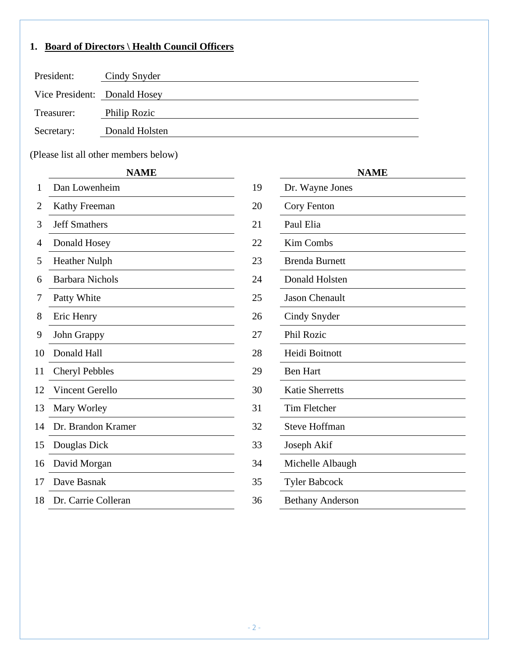# <span id="page-3-0"></span>**1. Board of Directors \ Health Council Officers**

| President:                   | Cindy Snyder   |
|------------------------------|----------------|
| Vice President: Donald Hosey |                |
| Treasurer:                   | Philip Rozic   |
| Secretary:                   | Donald Holsten |

(Please list all other members below)

#### **NAME NAME**

| Dan Lowenheim          | 19 | Dr. Wayne Jones         |
|------------------------|----|-------------------------|
| Kathy Freeman          | 20 | Cory Fenton             |
| <b>Jeff Smathers</b>   | 21 | Paul Elia               |
| Donald Hosey           | 22 | Kim Combs               |
| <b>Heather Nulph</b>   | 23 | <b>Brenda Burnett</b>   |
| <b>Barbara Nichols</b> | 24 | Donald Holsten          |
| Patty White            | 25 | <b>Jason Chenault</b>   |
| Eric Henry             | 26 | Cindy Snyder            |
| John Grappy            | 27 | <b>Phil Rozic</b>       |
| Donald Hall            | 28 | Heidi Boitnott          |
| <b>Cheryl Pebbles</b>  | 29 | <b>Ben Hart</b>         |
| Vincent Gerello        | 30 | <b>Katie Sherretts</b>  |
| Mary Worley            | 31 | <b>Tim Fletcher</b>     |
| Dr. Brandon Kramer     | 32 | <b>Steve Hoffman</b>    |
| Douglas Dick           | 33 | Joseph Akif             |
| David Morgan           | 34 | Michelle Albaugh        |
| Dave Basnak            | 35 | <b>Tyler Babcock</b>    |
| Dr. Carrie Colleran    | 36 | <b>Bethany Anderson</b> |
|                        |    |                         |

|                         | <b>NAME</b> |
|-------------------------|-------------|
| Dr. Wayne Jones         |             |
| Cory Fenton             |             |
| Paul Elia               |             |
| Kim Combs               |             |
| <b>Brenda Burnett</b>   |             |
| Donald Holsten          |             |
| <b>Jason Chenault</b>   |             |
| Cindy Snyder            |             |
| <b>Phil Rozic</b>       |             |
| Heidi Boitnott          |             |
| <b>Ben Hart</b>         |             |
| <b>Katie Sherretts</b>  |             |
| <b>Tim Fletcher</b>     |             |
| <b>Steve Hoffman</b>    |             |
| Joseph Akif             |             |
| Michelle Albaugh        |             |
| <b>Tyler Babcock</b>    |             |
| <b>Bethany Anderson</b> |             |
|                         |             |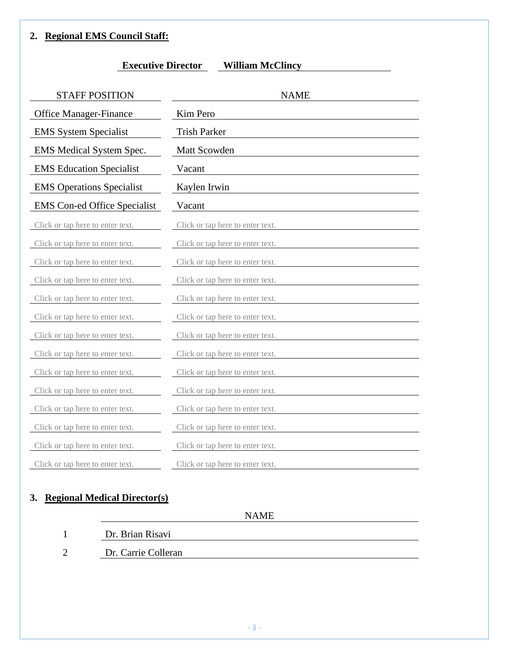#### <span id="page-4-0"></span>**2. Regional EMS Council Staff:**

#### **Executive Director William McClincy**

| <b>STAFF POSITION</b>               | <b>NAME</b>                      |
|-------------------------------------|----------------------------------|
| <b>Office Manager-Finance</b>       | Kim Pero                         |
| <b>EMS</b> System Specialist        | <b>Trish Parker</b>              |
| EMS Medical System Spec.            | Matt Scowden                     |
| <b>EMS</b> Education Specialist     | Vacant                           |
| <b>EMS</b> Operations Specialist    | Kaylen Irwin                     |
| <b>EMS</b> Con-ed Office Specialist | Vacant                           |
| Click or tap here to enter text.    | Click or tap here to enter text. |
| Click or tap here to enter text.    | Click or tap here to enter text. |
| Click or tap here to enter text.    | Click or tap here to enter text. |
| Click or tap here to enter text.    | Click or tap here to enter text. |
| Click or tap here to enter text.    | Click or tap here to enter text. |
| Click or tap here to enter text.    | Click or tap here to enter text. |
| Click or tap here to enter text.    | Click or tap here to enter text. |
| Click or tap here to enter text.    | Click or tap here to enter text. |
| Click or tap here to enter text.    | Click or tap here to enter text. |
| Click or tap here to enter text.    | Click or tap here to enter text. |
| Click or tap here to enter text.    | Click or tap here to enter text. |
| Click or tap here to enter text.    | Click or tap here to enter text. |
| Click or tap here to enter text.    | Click or tap here to enter text. |
| Click or tap here to enter text.    | Click or tap here to enter text. |

## <span id="page-4-1"></span>**3. Regional Medical Director(s)**

NAME

- 1 Dr. Brian Risavi
- 2 Dr. Carrie Colleran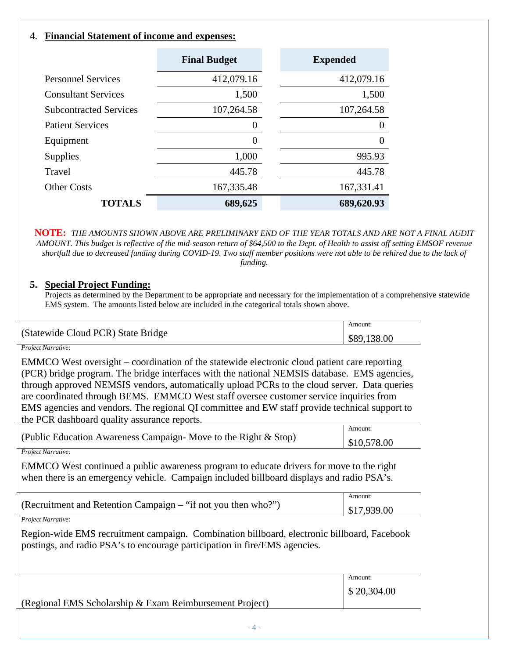#### <span id="page-5-0"></span>4. **Financial Statement of income and expenses:**

|                               | <b>Final Budget</b> | <b>Expended</b> |
|-------------------------------|---------------------|-----------------|
| <b>Personnel Services</b>     | 412,079.16          | 412,079.16      |
| <b>Consultant Services</b>    | 1,500               | 1,500           |
| <b>Subcontracted Services</b> | 107,264.58          | 107,264.58      |
| <b>Patient Services</b>       | 0                   | $\theta$        |
| Equipment                     | $\Omega$            | $\Omega$        |
| <b>Supplies</b>               | 1,000               | 995.93          |
| Travel                        | 445.78              | 445.78          |
| <b>Other Costs</b>            | 167,335.48          | 167,331.41      |
| <b>TOTALS</b>                 | 689,625             | 689,620.93      |

**NOTE:** *THE AMOUNTS SHOWN ABOVE ARE PRELIMINARY END OF THE YEAR TOTALS AND ARE NOT A FINAL AUDIT AMOUNT. This budget is reflective of the mid-season return of \$64,500 to the Dept. of Health to assist off setting EMSOF revenue shortfall due to decreased funding during COVID-19. Two staff member positions were not able to be rehired due to the lack of funding.*

#### <span id="page-5-1"></span>**5. Special Project Funding:**

Projects as determined by the Department to be appropriate and necessary for the implementation of a comprehensive statewide EMS system. The amounts listed below are included in the categorical totals shown above.

|                                    | Amount:     |
|------------------------------------|-------------|
| (Statewide Cloud PCR) State Bridge | \$89,138.00 |

#### *Project Narrative*:

EMMCO West oversight – coordination of the statewide electronic cloud patient care reporting  $|PCR\rangle$  bridge program. The bridge interfaces with the national NEMSIS database. EMS agencies, through approved NEMSIS vendors, automatically upload PCRs to the cloud server. Data queries are coordinated through BEMS. EMMCO West staff oversee customer service inquiries from EMS agencies and vendors. The regional QI committee and EW staff provide technical support to the PCR dashboard quality assurance reports.

| (Public Education Awareness Campaign- Move to the Right $\&$ Stop) | Amount:     |
|--------------------------------------------------------------------|-------------|
|                                                                    | \$10,578.00 |
| .                                                                  |             |

*Project Narrative*:

EMMCO West continued a public awareness program to educate drivers for move to the right when there is an emergency vehicle. Campaign included billboard displays and radio PSA's.

|                                                                 | Amount                    |
|-----------------------------------------------------------------|---------------------------|
| (Recruitment and Retention Campaign $-$ "if not you then who?") | $\frac{1}{2}$ \$17,939.00 |
| $\mathbf{r}$                                                    |                           |

*Project Narrative*:

Region-wide EMS recruitment campaign. Combination billboard, electronic billboard, Facebook postings, and radio PSA's to encourage participation in fire/EMS agencies.

|                                                           | Amount:     |
|-----------------------------------------------------------|-------------|
|                                                           | \$20,304.00 |
| (Regional EMS Scholarship $& Exam$ Reimbursement Project) |             |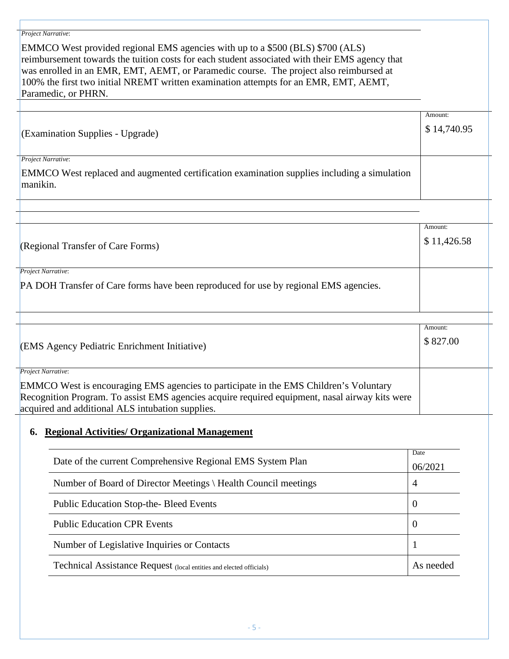# *Project Narrative*: EMMCO West provided regional EMS agencies with up to a \$500 (BLS) \$700 (ALS) reimbursement towards the tuition costs for each student associated with their EMS agency that was enrolled in an EMR, EMT, AEMT, or Paramedic course. The project also reimbursed at 100% the first two initial NREMT written examination attempts for an EMR, EMT, AEMT, Paramedic, or PHRN. (Examination Supplies - Upgrade) Amount: \$ 14,740.95 *Project Narrative*: EMMCO West replaced and augmented certification examination supplies including a simulation manikin. (Regional Transfer of Care Forms) Amount: \$ 11,426.58 *Project Narrative*: PA DOH Transfer of Care forms have been reproduced for use by regional EMS agencies. (EMS Agency Pediatric Enrichment Initiative) Amount: \$ 827.00 *Project Narrative*: EMMCO West is encouraging EMS agencies to participate in the EMS Children's Voluntary Recognition Program. To assist EMS agencies acquire required equipment, nasal airway kits were acquired and additional ALS intubation supplies. **6. Regional Activities/ Organizational Management** Date of the current Comprehensive Regional EMS System Plan Date 06/2021 Number of Board of Director Meetings \ Health Council meetings  $\vert 4 \vert$ Public Education Stop-the- Bleed Events 0 Public Education CPR Events 0

<span id="page-6-0"></span>Number of Legislative Inquiries or Contacts 1

Technical Assistance Request (local entities and elected officials) <br> As needed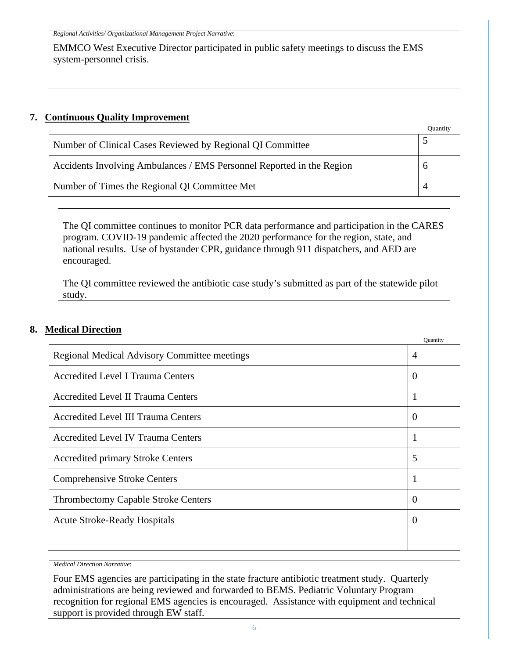*Regional Activities/ Organizational Management Project Narrative*:

EMMCO West Executive Director participated in public safety meetings to discuss the EMS system-personnel crisis.

#### <span id="page-7-0"></span>**7. Continuous Quality Improvement**

|                                                                       | Ouantit     |
|-----------------------------------------------------------------------|-------------|
| Number of Clinical Cases Reviewed by Regional QI Committee            |             |
| Accidents Involving Ambulances / EMS Personnel Reported in the Region | $\mathbf b$ |
| Number of Times the Regional QI Committee Met                         | 4           |
|                                                                       |             |

The QI committee continues to monitor PCR data performance and participation in the CARES program. COVID-19 pandemic affected the 2020 performance for the region, state, and national results. Use of bystander CPR, guidance through 911 dispatchers, and AED are encouraged.

The QI committee reviewed the antibiotic case study's submitted as part of the statewide pilot study.

#### <span id="page-7-1"></span>**8. Medical Direction**

|                                                     | Quantity         |
|-----------------------------------------------------|------------------|
| <b>Regional Medical Advisory Committee meetings</b> | $\overline{4}$   |
| <b>Accredited Level I Trauma Centers</b>            | $\theta$         |
| <b>Accredited Level II Trauma Centers</b>           | т                |
| <b>Accredited Level III Trauma Centers</b>          | $\boldsymbol{0}$ |
| <b>Accredited Level IV Trauma Centers</b>           | т                |
| <b>Accredited primary Stroke Centers</b>            | 5                |
| <b>Comprehensive Stroke Centers</b>                 |                  |
| <b>Thrombectomy Capable Stroke Centers</b>          | $\theta$         |
| <b>Acute Stroke-Ready Hospitals</b>                 | $\theta$         |
|                                                     |                  |

*Medical Direction Narrative*:

Four EMS agencies are participating in the state fracture antibiotic treatment study. Quarterly administrations are being reviewed and forwarded to BEMS. Pediatric Voluntary Program recognition for regional EMS agencies is encouraged. Assistance with equipment and technical support is provided through EW staff.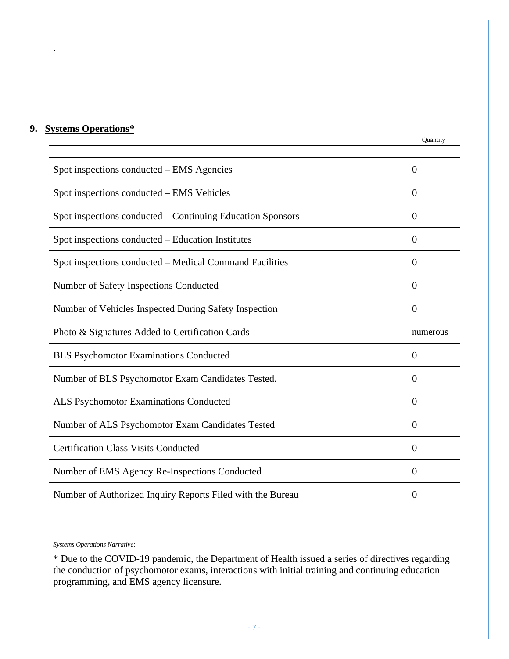#### <span id="page-8-0"></span>**9. Systems Operations\***

.

| Spot inspections conducted – EMS Agencies                  | $\theta$       |
|------------------------------------------------------------|----------------|
| Spot inspections conducted – EMS Vehicles                  | $\overline{0}$ |
| Spot inspections conducted – Continuing Education Sponsors | $\theta$       |
| Spot inspections conducted – Education Institutes          | $\theta$       |
| Spot inspections conducted – Medical Command Facilities    | $\theta$       |
| Number of Safety Inspections Conducted                     | $\theta$       |
| Number of Vehicles Inspected During Safety Inspection      | $\overline{0}$ |
| Photo & Signatures Added to Certification Cards            | numerous       |
| <b>BLS Psychomotor Examinations Conducted</b>              | $\theta$       |
| Number of BLS Psychomotor Exam Candidates Tested.          | $\theta$       |
| ALS Psychomotor Examinations Conducted                     | $\overline{0}$ |
| Number of ALS Psychomotor Exam Candidates Tested           | $\overline{0}$ |
| <b>Certification Class Visits Conducted</b>                | $\theta$       |
| Number of EMS Agency Re-Inspections Conducted              | $\theta$       |
| Number of Authorized Inquiry Reports Filed with the Bureau | $\overline{0}$ |
|                                                            |                |

*Systems Operations Narrative*:

\* Due to the COVID-19 pandemic, the Department of Health issued a series of directives regarding the conduction of psychomotor exams, interactions with initial training and continuing education programming, and EMS agency licensure.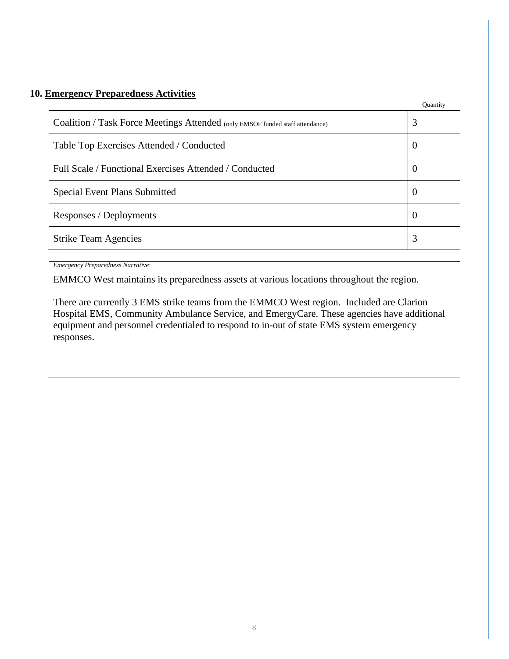### <span id="page-9-0"></span>**10. Emergency Preparedness Activities**

|                                                                               | Ouantity       |
|-------------------------------------------------------------------------------|----------------|
| Coalition / Task Force Meetings Attended (only EMSOF funded staff attendance) | 3              |
| Table Top Exercises Attended / Conducted                                      | $\theta$       |
| Full Scale / Functional Exercises Attended / Conducted                        | $\overline{0}$ |
| <b>Special Event Plans Submitted</b>                                          | $\overline{0}$ |
| Responses / Deployments                                                       | $\overline{0}$ |
| <b>Strike Team Agencies</b>                                                   | 3              |
|                                                                               |                |

*Emergency Preparedness Narrative*:

EMMCO West maintains its preparedness assets at various locations throughout the region.

There are currently 3 EMS strike teams from the EMMCO West region. Included are Clarion Hospital EMS, Community Ambulance Service, and EmergyCare. These agencies have additional equipment and personnel credentialed to respond to in-out of state EMS system emergency responses.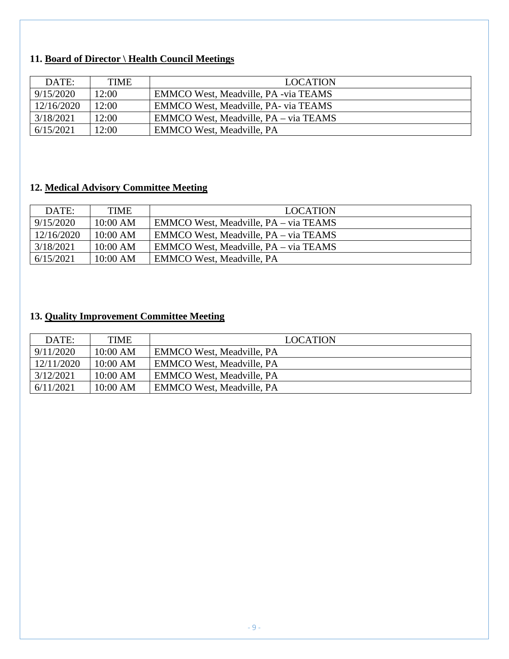# <span id="page-10-0"></span>**11. Board of Director \ Health Council Meetings**

| DATE:      | <b>TIME</b> | <b>LOCATION</b>                       |
|------------|-------------|---------------------------------------|
| 9/15/2020  | 12:00       | EMMCO West, Meadville, PA -via TEAMS  |
| 12/16/2020 | 12:00       | EMMCO West, Meadville, PA- via TEAMS  |
| 3/18/2021  | 12:00       | EMMCO West, Meadville, PA – via TEAMS |
| 6/15/2021  | 12:00       | <b>EMMCO West, Meadville, PA</b>      |

## <span id="page-10-1"></span>**12. Medical Advisory Committee Meeting**

| DATE:      | <b>TIME</b> | <b>LOCATION</b>                       |
|------------|-------------|---------------------------------------|
| 9/15/2020  | $10:00$ AM  | EMMCO West, Meadville, PA – via TEAMS |
| 12/16/2020 | $10:00$ AM  | EMMCO West, Meadville, PA – via TEAMS |
| 3/18/2021  | $10:00$ AM  | EMMCO West, Meadville, PA – via TEAMS |
| 6/15/2021  | $10:00$ AM  | <b>EMMCO West, Meadville, PA</b>      |

## <span id="page-10-2"></span>**13. Quality Improvement Committee Meeting**

| DATE:      | <b>TIME</b> | <b>LOCATION</b>                  |
|------------|-------------|----------------------------------|
| 9/11/2020  | $10:00$ AM  | <b>EMMCO West, Meadville, PA</b> |
| 12/11/2020 | $10:00$ AM  | <b>EMMCO West, Meadville, PA</b> |
| 3/12/2021  | $10:00$ AM  | <b>EMMCO West, Meadville, PA</b> |
| 6/11/2021  | $10:00$ AM  | <b>EMMCO West, Meadville, PA</b> |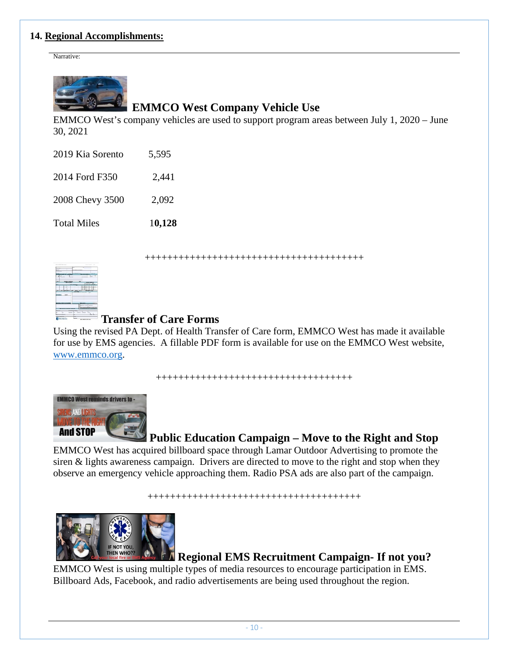#### <span id="page-11-0"></span>**14. Regional Accomplishments:**

Narrative:



# **EMMCO West Company Vehicle Use**

EMMCO West's company vehicles are used to support program areas between July 1, 2020 – June 30, 2021

| 2019 Kia Sorento | 5,595 |
|------------------|-------|
|                  |       |

2014 Ford F350 2,441

2008 Chevy 3500 2,092

Total Miles 1**0,128**

+++++++++++++++++++++++++++++++++++++++



# **Transfer of Care Forms**

Using the revised PA Dept. of Health Transfer of Care form, EMMCO West has made it available for use by EMS agencies. A fillable PDF form is available for use on the EMMCO West website, [www.emmco.org.](http://www.emmco.org/)

+++++++++++++++++++++++++++++++++++



# **Public Education Campaign – Move to the Right and Stop**

EMMCO West has acquired billboard space through Lamar Outdoor Advertising to promote the siren & lights awareness campaign. Drivers are directed to move to the right and stop when they observe an emergency vehicle approaching them. Radio PSA ads are also part of the campaign.

++++++++++++++++++++++++++++++++++++++



**Regional EMS Recruitment Campaign- If not you?**

EMMCO West is using multiple types of media resources to encourage participation in EMS. Billboard Ads, Facebook, and radio advertisements are being used throughout the region.